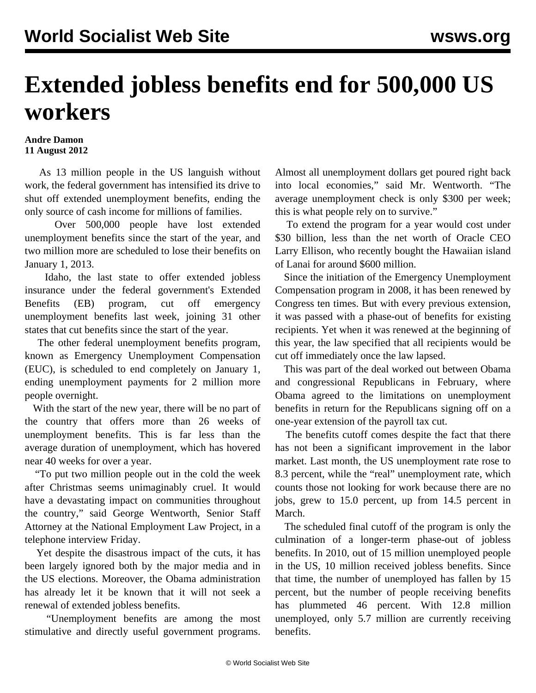## **Extended jobless benefits end for 500,000 US workers**

## **Andre Damon 11 August 2012**

 As 13 million people in the US languish without work, the federal government has intensified its drive to shut off extended unemployment benefits, ending the only source of cash income for millions of families.

 Over 500,000 people have lost extended unemployment benefits since the start of the year, and two million more are scheduled to lose their benefits on January 1, 2013.

 Idaho, the last state to offer extended jobless insurance under the federal government's Extended Benefits (EB) program, cut off emergency unemployment benefits last week, joining 31 other states that cut benefits since the start of the year.

 The other federal unemployment benefits program, known as Emergency Unemployment Compensation (EUC), is scheduled to end completely on January 1, ending unemployment payments for 2 million more people overnight.

 With the start of the new year, there will be no part of the country that offers more than 26 weeks of unemployment benefits. This is far less than the average duration of unemployment, which has hovered near 40 weeks for over a year.

 "To put two million people out in the cold the week after Christmas seems unimaginably cruel. It would have a devastating impact on communities throughout the country," said George Wentworth, Senior Staff Attorney at the National Employment Law Project, in a telephone interview Friday.

 Yet despite the disastrous impact of the cuts, it has been largely ignored both by the major media and in the US elections. Moreover, the Obama administration has already let it be known that it will not seek a renewal of extended jobless benefits.

 "Unemployment benefits are among the most stimulative and directly useful government programs.

Almost all unemployment dollars get poured right back into local economies," said Mr. Wentworth. "The average unemployment check is only \$300 per week; this is what people rely on to survive."

 To extend the program for a year would cost under \$30 billion, less than the net worth of Oracle CEO Larry Ellison, who recently bought the Hawaiian island of Lanai for around \$600 million.

 Since the initiation of the Emergency Unemployment Compensation program in 2008, it has been renewed by Congress ten times. But with every previous extension, it was passed with a phase-out of benefits for existing recipients. Yet when it was renewed at the beginning of this year, the law specified that all recipients would be cut off immediately once the law lapsed.

 This was part of the deal worked out between Obama and congressional Republicans in February, where Obama agreed to the limitations on unemployment benefits in return for the Republicans signing off on a one-year extension of the payroll tax cut.

 The benefits cutoff comes despite the fact that there has not been a significant improvement in the labor market. Last month, the US unemployment rate rose to 8.3 percent, while the "real" unemployment rate, which counts those not looking for work because there are no jobs, grew to 15.0 percent, up from 14.5 percent in March.

 The scheduled final cutoff of the program is only the culmination of a longer-term phase-out of jobless benefits. In 2010, out of 15 million unemployed people in the US, 10 million received jobless benefits. Since that time, the number of unemployed has fallen by 15 percent, but the number of people receiving benefits has plummeted 46 percent. With 12.8 million unemployed, only 5.7 million are currently receiving benefits.